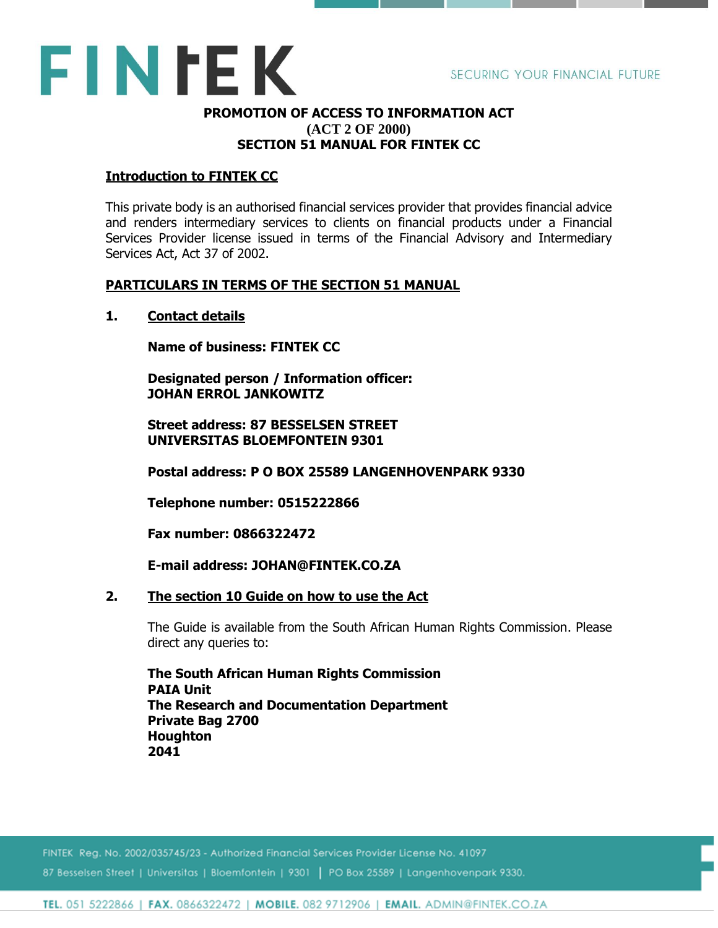



## **PROMOTION OF ACCESS TO INFORMATION ACT (ACT 2 OF 2000) SECTION 51 MANUAL FOR FINTEK CC**

### **Introduction to FINTEK CC**

This private body is an authorised financial services provider that provides financial advice and renders intermediary services to clients on financial products under a Financial Services Provider license issued in terms of the Financial Advisory and Intermediary Services Act, Act 37 of 2002.

### **PARTICULARS IN TERMS OF THE SECTION 51 MANUAL**

**1. Contact details**

**Name of business: FINTEK CC**

**Designated person / Information officer: JOHAN ERROL JANKOWITZ** 

**Street address: 87 BESSELSEN STREET UNIVERSITAS BLOEMFONTEIN 9301**

**Postal address: P O BOX 25589 LANGENHOVENPARK 9330**

**Telephone number: 0515222866**

**Fax number: 0866322472**

**E-mail address: JOHAN@FINTEK.CO.ZA**

### **2. The section 10 Guide on how to use the Act**

The Guide is available from the South African Human Rights Commission. Please direct any queries to:

**The South African Human Rights Commission PAIA Unit The Research and Documentation Department Private Bag 2700 Houghton 2041**

FINTEK Reg. No. 2002/035745/23 - Authorized Financial Services Provider License No. 41097 87 Besselsen Street | Universitas | Bloemfontein | 9301 | PO Box 25589 | Langenhovenpark 9330.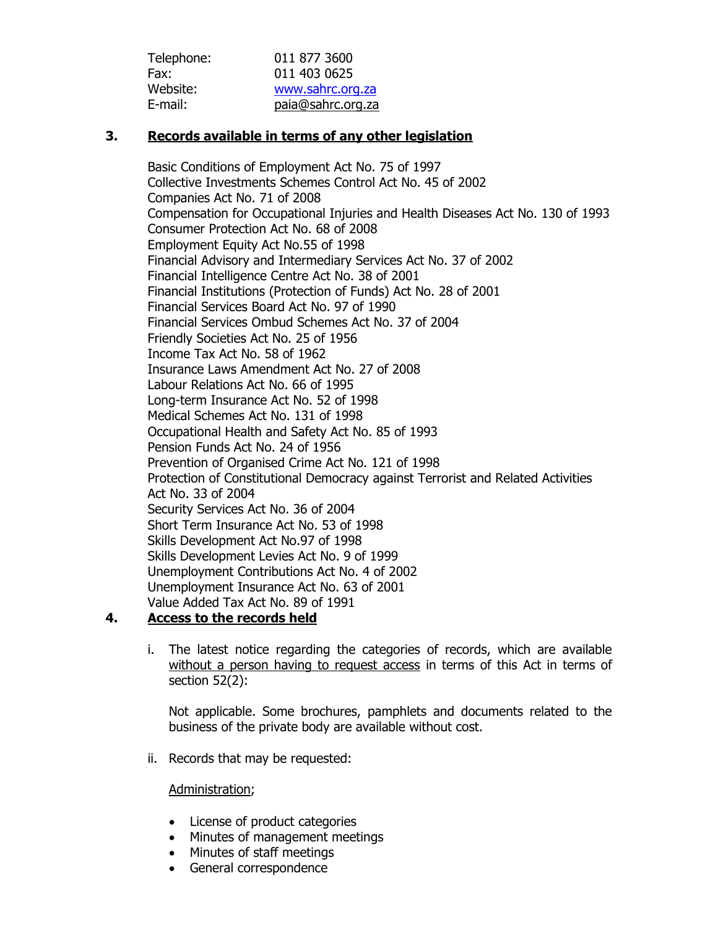| Telephone: | 011 877 3600      |
|------------|-------------------|
| Fax:       | 011 403 0625      |
| Website:   | www.sahrc.org.za  |
| E-mail:    | paia@sahrc.org.za |
|            |                   |

## **3. Records available in terms of any other legislation**

Basic Conditions of Employment Act No. 75 of 1997 Collective Investments Schemes Control Act No. 45 of 2002 Companies Act No. 71 of 2008 Compensation for Occupational Injuries and Health Diseases Act No. 130 of 1993 Consumer Protection Act No. 68 of 2008 Employment Equity Act No.55 of 1998 Financial Advisory and Intermediary Services Act No. 37 of 2002 Financial Intelligence Centre Act No. 38 of 2001 Financial Institutions (Protection of Funds) Act No. 28 of 2001 Financial Services Board Act No. 97 of 1990 Financial Services Ombud Schemes Act No. 37 of 2004 Friendly Societies Act No. 25 of 1956 Income Tax Act No. 58 of 1962 Insurance Laws Amendment Act No. 27 of 2008 Labour Relations Act No. 66 of 1995 Long-term Insurance Act No. 52 of 1998 Medical Schemes Act No. 131 of 1998 Occupational Health and Safety Act No. 85 of 1993 Pension Funds Act No. 24 of 1956 Prevention of Organised Crime Act No. 121 of 1998 Protection of Constitutional Democracy against Terrorist and Related Activities Act No. 33 of 2004 Security Services Act No. 36 of 2004 Short Term Insurance Act No. 53 of 1998 Skills Development Act No.97 of 1998 Skills Development Levies Act No. 9 of 1999 Unemployment Contributions Act No. 4 of 2002 Unemployment Insurance Act No. 63 of 2001 Value Added Tax Act No. 89 of 1991

## **4. Access to the records held**

i. The latest notice regarding the categories of records, which are available without a person having to request access in terms of this Act in terms of section 52(2):

Not applicable. Some brochures, pamphlets and documents related to the business of the private body are available without cost.

ii. Records that may be requested:

### Administration;

- License of product categories
- Minutes of management meetings
- Minutes of staff meetings
- General correspondence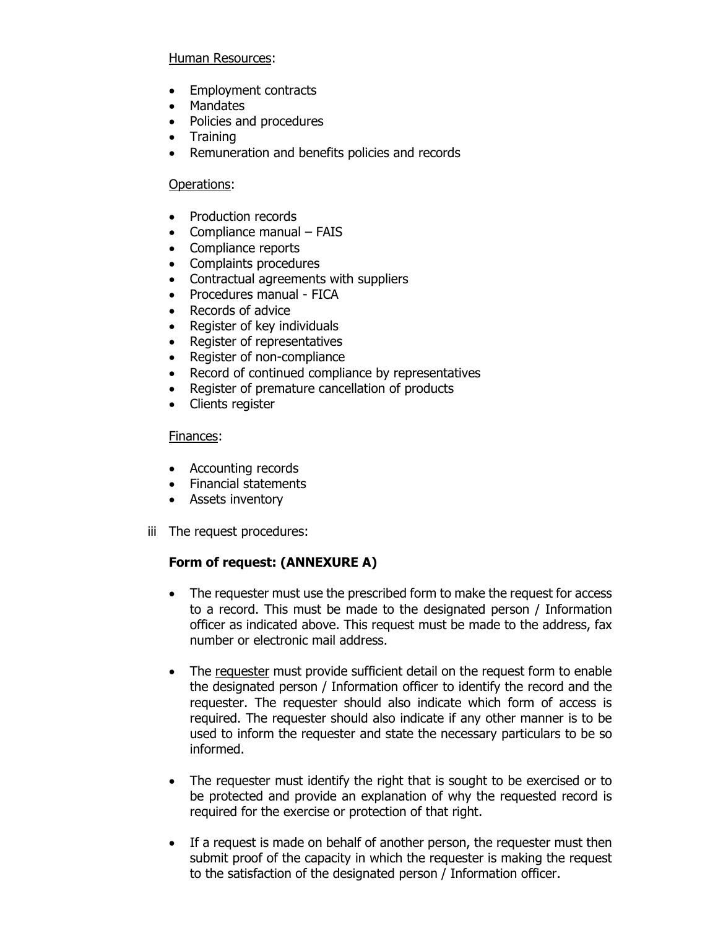### Human Resources:

- Employment contracts
- Mandates
- Policies and procedures
- Training
- Remuneration and benefits policies and records

### Operations:

- Production records
- Compliance manual FAIS
- Compliance reports
- Complaints procedures
- Contractual agreements with suppliers
- Procedures manual FICA
- Records of advice
- Register of key individuals
- Register of representatives
- Register of non-compliance
- Record of continued compliance by representatives
- Register of premature cancellation of products
- Clients register

### Finances:

- Accounting records
- Financial statements
- Assets inventory
- iii The request procedures:

## **Form of request: (ANNEXURE A)**

- The requester must use the prescribed form to make the request for access to a record. This must be made to the designated person / Information officer as indicated above. This request must be made to the address, fax number or electronic mail address.
- The requester must provide sufficient detail on the request form to enable the designated person / Information officer to identify the record and the requester. The requester should also indicate which form of access is required. The requester should also indicate if any other manner is to be used to inform the requester and state the necessary particulars to be so informed.
- The requester must identify the right that is sought to be exercised or to be protected and provide an explanation of why the requested record is required for the exercise or protection of that right.
- If a request is made on behalf of another person, the requester must then submit proof of the capacity in which the requester is making the request to the satisfaction of the designated person / Information officer.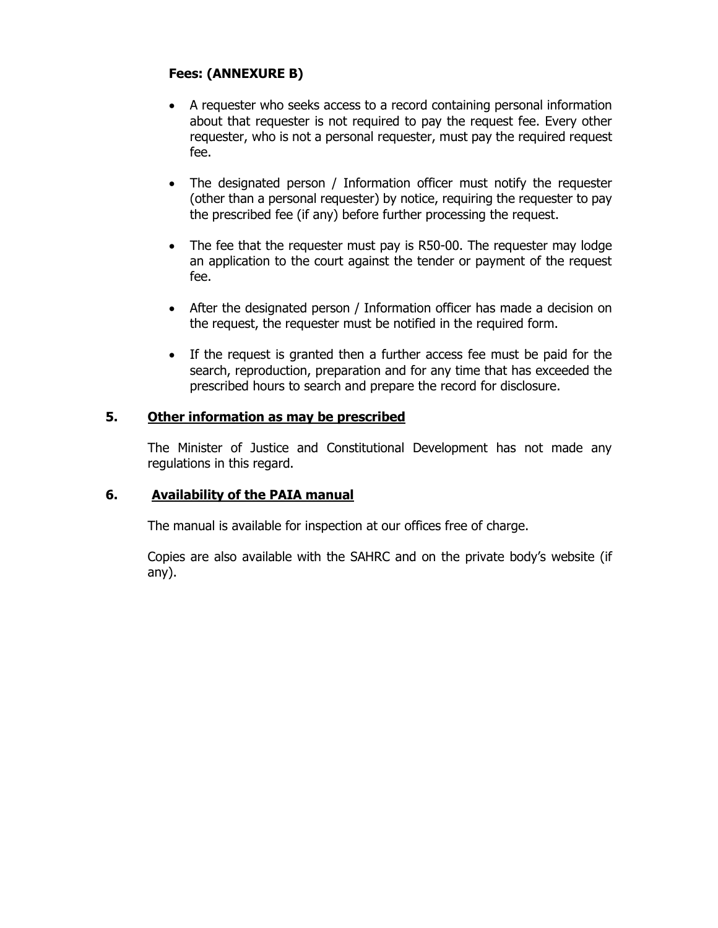# **Fees: (ANNEXURE B)**

- A requester who seeks access to a record containing personal information about that requester is not required to pay the request fee. Every other requester, who is not a personal requester, must pay the required request fee.
- The designated person / Information officer must notify the requester (other than a personal requester) by notice, requiring the requester to pay the prescribed fee (if any) before further processing the request.
- The fee that the requester must pay is R50-00. The requester may lodge an application to the court against the tender or payment of the request fee.
- After the designated person / Information officer has made a decision on the request, the requester must be notified in the required form.
- If the request is granted then a further access fee must be paid for the search, reproduction, preparation and for any time that has exceeded the prescribed hours to search and prepare the record for disclosure.

### **5. Other information as may be prescribed**

The Minister of Justice and Constitutional Development has not made any regulations in this regard.

## **6. Availability of the PAIA manual**

The manual is available for inspection at our offices free of charge.

Copies are also available with the SAHRC and on the private body's website (if any).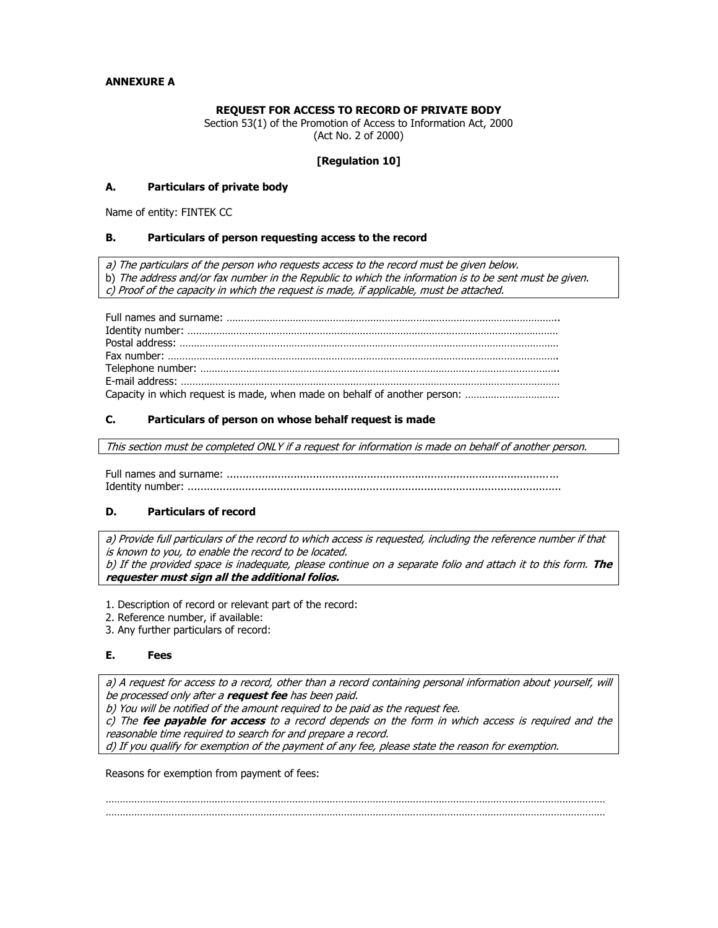#### **ANNEXURE A**

### **REQUEST FOR ACCESS TO RECORD OF PRIVATE BODY**

Section 53(1) of the Promotion of Access to Information Act, 2000 (Act No. 2 of 2000)

#### **[Regulation 10]**

### **A. Particulars of private body**

Name of entity: FINTEK CC

#### **B. Particulars of person requesting access to the record**

a) The particulars of the person who requests access to the record must be given below. b) The address and/or fax number in the Republic to which the information is to be sent must be given. c) Proof of the capacity in which the request is made, if applicable, must be attached.

| Capacity in which request is made, when made on behalf of another person: |
|---------------------------------------------------------------------------|

#### **C. Particulars of person on whose behalf request is made**

This section must be completed ONLY if a request for information is made on behalf of another person.

Full names and surname: ........................................................................................................ Identity number: .....................................................................................................................

#### **D. Particulars of record**

a) Provide full particulars of the record to which access is requested, including the reference number if that is known to you, to enable the record to be located. b) If the provided space is inadequate, please continue on a separate folio and attach it to this form. **The requester must sign all the additional folios.**

1. Description of record or relevant part of the record:

- 2. Reference number, if available:
- 3. Any further particulars of record:

#### **E. Fees**

a) A request for access to a record, other than a record containing personal information about yourself, will be processed only after a **request fee** has been paid.

b) You will be notified of the amount required to be paid as the request fee.

c) The **fee payable for access** to a record depends on the form in which access is required and the reasonable time required to search for and prepare a record.

………………………………………………………………………………………………………………………………………………………… …………………………………………………………………………………………………………………………………………………………

d) If you qualify for exemption of the payment of any fee, please state the reason for exemption.

Reasons for exemption from payment of fees: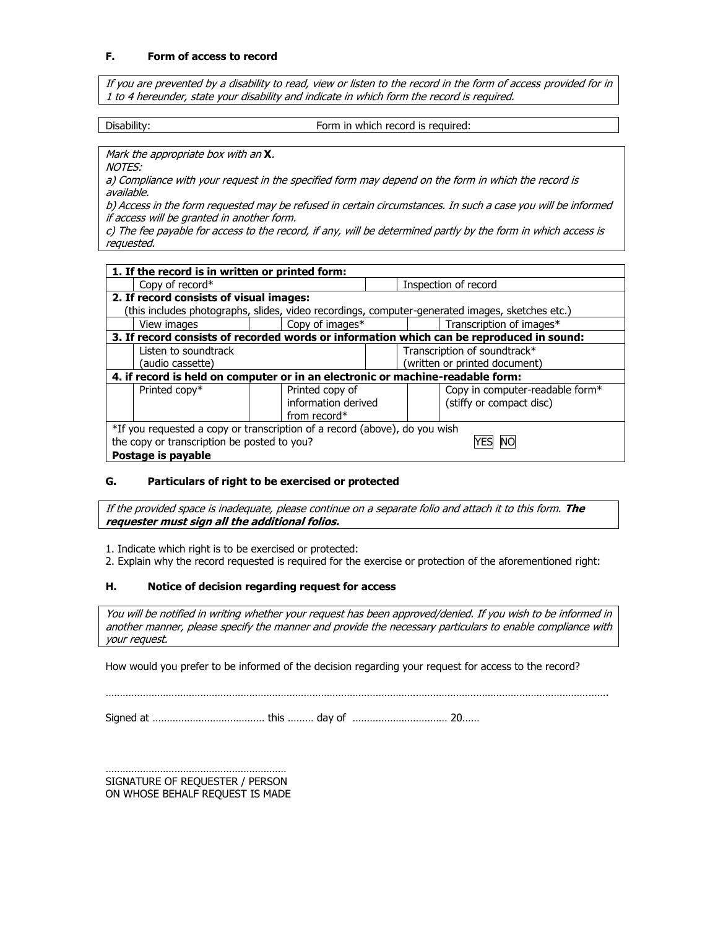#### **F. Form of access to record**

If you are prevented by a disability to read, view or listen to the record in the form of access provided for in 1 to 4 hereunder, state your disability and indicate in which form the record is required.

| Disability: |  |  |
|-------------|--|--|
|             |  |  |
|             |  |  |

Form in which record is required:

Mark the appropriate box with an **X**.

NOTES:

a) Compliance with your request in the specified form may depend on the form in which the record is available.

b) Access in the form requested may be refused in certain circumstances. In such a case you will be informed if access will be granted in another form.

c) The fee payable for access to the record, if any, will be determined partly by the form in which access is requested.

| 1. If the record is in written or printed form:                                                 |                     |                               |                                 |  |  |  |
|-------------------------------------------------------------------------------------------------|---------------------|-------------------------------|---------------------------------|--|--|--|
| Copy of record*                                                                                 |                     |                               | Inspection of record            |  |  |  |
| 2. If record consists of visual images:                                                         |                     |                               |                                 |  |  |  |
| (this includes photographs, slides, video recordings, computer-generated images, sketches etc.) |                     |                               |                                 |  |  |  |
| View images                                                                                     | Copy of images*     | Transcription of images*      |                                 |  |  |  |
| 3. If record consists of recorded words or information which can be reproduced in sound:        |                     |                               |                                 |  |  |  |
| Listen to soundtrack                                                                            |                     |                               | Transcription of soundtrack*    |  |  |  |
| (audio cassette)                                                                                |                     | (written or printed document) |                                 |  |  |  |
| 4. if record is held on computer or in an electronic or machine-readable form:                  |                     |                               |                                 |  |  |  |
| Printed copy*                                                                                   | Printed copy of     |                               | Copy in computer-readable form* |  |  |  |
|                                                                                                 | information derived |                               | (stiffy or compact disc)        |  |  |  |
|                                                                                                 | from record $*$     |                               |                                 |  |  |  |
| *If you requested a copy or transcription of a record (above), do you wish                      |                     |                               |                                 |  |  |  |
| the copy or transcription be posted to you?                                                     |                     | ΝOΙ                           |                                 |  |  |  |
| Postage is payable                                                                              |                     |                               |                                 |  |  |  |

#### **G. Particulars of right to be exercised or protected**

If the provided space is inadequate, please continue on a separate folio and attach it to this form. **The requester must sign all the additional folios.**

1. Indicate which right is to be exercised or protected:

2. Explain why the record requested is required for the exercise or protection of the aforementioned right:

### **H. Notice of decision regarding request for access**

You will be notified in writing whether your request has been approved/denied. If you wish to be informed in another manner, please specify the manner and provide the necessary particulars to enable compliance with your request.

………………………………………………………………………………………………………………………………………………………….

How would you prefer to be informed of the decision regarding your request for access to the record?

Signed at ………………………………… this ……… day of …………………………… 20……

……………………………………………………… SIGNATURE OF REQUESTER / PERSON ON WHOSE BEHALF REQUEST IS MADE